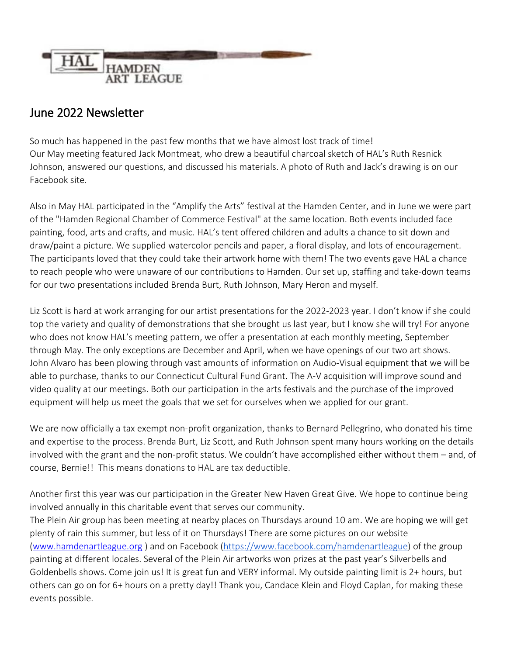

## June 2022 Newsletter

So much has happened in the past few months that we have almost lost track of time! Our May meeting featured Jack Montmeat, who drew a beautiful charcoal sketch of HAL's Ruth Resnick Johnson, answered our questions, and discussed his materials. A photo of Ruth and Jack's drawing is on our Facebook site.

Also in May HAL participated in the "Amplify the Arts" festival at the Hamden Center, and in June we were part of the "Hamden Regional Chamber of Commerce Festival" at the same location. Both events included face painting, food, arts and crafts, and music. HAL's tent offered children and adults a chance to sit down and draw/paint a picture. We supplied watercolor pencils and paper, a floral display, and lots of encouragement. The participants loved that they could take their artwork home with them! The two events gave HAL a chance to reach people who were unaware of our contributions to Hamden. Our set up, staffing and take-down teams for our two presentations included Brenda Burt, Ruth Johnson, Mary Heron and myself.

Liz Scott is hard at work arranging for our artist presentations for the 2022-2023 year. I don't know if she could top the variety and quality of demonstrations that she brought us last year, but I know she will try! For anyone who does not know HAL's meeting pattern, we offer a presentation at each monthly meeting, September through May. The only exceptions are December and April, when we have openings of our two art shows. John Alvaro has been plowing through vast amounts of information on Audio-Visual equipment that we will be able to purchase, thanks to our Connecticut Cultural Fund Grant. The A-V acquisition will improve sound and video quality at our meetings. Both our participation in the arts festivals and the purchase of the improved equipment will help us meet the goals that we set for ourselves when we applied for our grant.

We are now officially a tax exempt non-profit organization, thanks to Bernard Pellegrino, who donated his time and expertise to the process. Brenda Burt, Liz Scott, and Ruth Johnson spent many hours working on the details involved with the grant and the non-profit status. We couldn't have accomplished either without them – and, of course, Bernie!! This means donations to HAL are tax deductible.

Another first this year was our participation in the Greater New Haven Great Give. We hope to continue being involved annually in this charitable event that serves our community.

The Plein Air group has been meeting at nearby places on Thursdays around 10 am. We are hoping we will get plenty of rain this summer, but less of it on Thursdays! There are some pictures on our website [\(www.hamdenartleague.org](http://www.hamdenartleague.org/) ) and on Facebook [\(https://www.facebook.com/hamdenartleague\)](https://www.facebook.com/hamdenartleague) of the group painting at different locales. Several of the Plein Air artworks won prizes at the past year's Silverbells and Goldenbells shows. Come join us! It is great fun and VERY informal. My outside painting limit is 2+ hours, but others can go on for 6+ hours on a pretty day!! Thank you, Candace Klein and Floyd Caplan, for making these events possible.